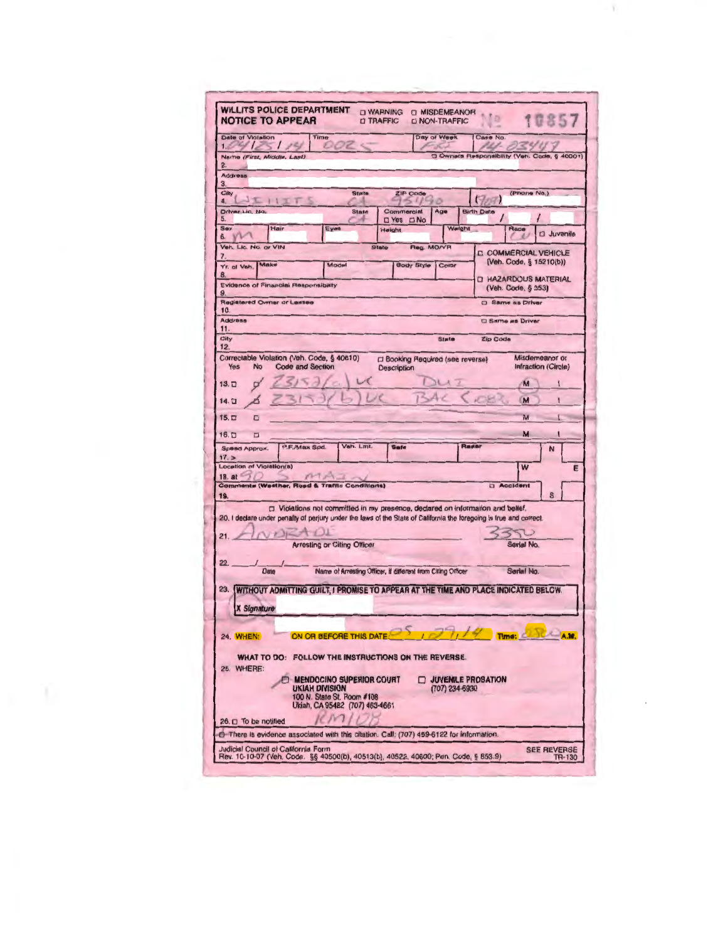| 10857<br><b>O TRAFFIC</b><br><b>DI NON-TRAFFIC</b><br>Day of Week<br>Time<br>Case No.<br>OOZ<br>C Owners Responsibility (Veh. Code, § 40001)<br><b>State</b><br>ZIP Code<br>(Phone No.)<br>T<br>$11 - 2$<br>Commercial<br>Age<br><b>Birth Date</b><br><b>State</b><br>D Yes D No<br>Weight<br>Hair<br>Eyes<br>Height<br>Race<br><b>Q</b> Juvenile<br>Veh. Lic. No. or VIN<br>Reg. MO/YR<br>State<br><b>COMMERCIAL VEHICLE</b><br>(Veh. Code, § 15210(b))<br>Make<br>Model<br><b>Body Style   Color</b><br><b>D HAZARDOUS MATERIAL</b><br>(Veh. Code, § 353)<br>C Same as Driver<br>10.<br><b>C</b> Same as Driver<br>State<br>Zip Code<br>Correctable Violation (Veh. Code, § 40610)<br>Misdemeanor or<br>□ Booking Required (see reverse)<br><b>Code and Section</b><br>Yes<br>No<br>Infraction (Circle)<br><b>Description</b><br>$1 - 4$<br>M<br>M<br>ı<br>M<br>$\Box$<br>M<br>$\Box$<br>Veh. Lmt.<br>Rader<br>P.F./Max Spd.<br>Safe<br>N<br>W<br>E<br>MTA1<br>Comments (Westher, Road & Traffic Conditions)<br><b>D</b> Accident<br>D Violations not committed in my presence, declared on information and belief.<br>20. I declare under penalty of perjury under the laws of the State of California the foregoing is true and correct.<br>$\rightarrow$<br><b>Arresting or Citing Officer</b><br>Serial No.<br>Name of Arresting Officer, if different from Citing Officer<br>Date<br>Serial No.<br>WITHOUT ADMITTING GUILT, I PROMISE TO APPEAR AT THE TIME AND PLACE INDICATED BELCW.<br><b>X Signature</b><br>ON OR BEFORE THIS DAT<br>A 50<br>WHAT TO DO: FOLLOW THE INSTRUCTIONS ON THE REVERSE.<br><b>MENDOCINO SUPERIOR COURT</b><br><b>U JUVENILE PROBATION</b><br><b>UKIAH DIVISION</b><br>(707) 234-6930<br>100 N. State St. Room #108 | <b>WILLITS POLICE DEPARTMENT</b>                 |  | <b>D WARNING</b> | <b>O MISDEMEANOR</b> |    |  |  |  |  |
|--------------------------------------------------------------------------------------------------------------------------------------------------------------------------------------------------------------------------------------------------------------------------------------------------------------------------------------------------------------------------------------------------------------------------------------------------------------------------------------------------------------------------------------------------------------------------------------------------------------------------------------------------------------------------------------------------------------------------------------------------------------------------------------------------------------------------------------------------------------------------------------------------------------------------------------------------------------------------------------------------------------------------------------------------------------------------------------------------------------------------------------------------------------------------------------------------------------------------------------------------------------------------------------------------------------------------------------------------------------------------------------------------------------------------------------------------------------------------------------------------------------------------------------------------------------------------------------------------------------------------------------------------------------------------------------------------------------------------------------------------------|--------------------------------------------------|--|------------------|----------------------|----|--|--|--|--|
|                                                                                                                                                                                                                                                                                                                                                                                                                                                                                                                                                                                                                                                                                                                                                                                                                                                                                                                                                                                                                                                                                                                                                                                                                                                                                                                                                                                                                                                                                                                                                                                                                                                                                                                                                        | <b>NOTICE TO APPEAR</b>                          |  |                  |                      | 10 |  |  |  |  |
|                                                                                                                                                                                                                                                                                                                                                                                                                                                                                                                                                                                                                                                                                                                                                                                                                                                                                                                                                                                                                                                                                                                                                                                                                                                                                                                                                                                                                                                                                                                                                                                                                                                                                                                                                        | Date of Violation<br>104125125                   |  |                  |                      |    |  |  |  |  |
|                                                                                                                                                                                                                                                                                                                                                                                                                                                                                                                                                                                                                                                                                                                                                                                                                                                                                                                                                                                                                                                                                                                                                                                                                                                                                                                                                                                                                                                                                                                                                                                                                                                                                                                                                        | Name (First, Middle, Last)<br>2.                 |  |                  |                      |    |  |  |  |  |
|                                                                                                                                                                                                                                                                                                                                                                                                                                                                                                                                                                                                                                                                                                                                                                                                                                                                                                                                                                                                                                                                                                                                                                                                                                                                                                                                                                                                                                                                                                                                                                                                                                                                                                                                                        | Address                                          |  |                  |                      |    |  |  |  |  |
|                                                                                                                                                                                                                                                                                                                                                                                                                                                                                                                                                                                                                                                                                                                                                                                                                                                                                                                                                                                                                                                                                                                                                                                                                                                                                                                                                                                                                                                                                                                                                                                                                                                                                                                                                        | З.<br>City                                       |  |                  |                      |    |  |  |  |  |
|                                                                                                                                                                                                                                                                                                                                                                                                                                                                                                                                                                                                                                                                                                                                                                                                                                                                                                                                                                                                                                                                                                                                                                                                                                                                                                                                                                                                                                                                                                                                                                                                                                                                                                                                                        | 4.<br>Driver Lic. No.                            |  |                  |                      |    |  |  |  |  |
|                                                                                                                                                                                                                                                                                                                                                                                                                                                                                                                                                                                                                                                                                                                                                                                                                                                                                                                                                                                                                                                                                                                                                                                                                                                                                                                                                                                                                                                                                                                                                                                                                                                                                                                                                        | 5.<br>Sex                                        |  |                  |                      |    |  |  |  |  |
|                                                                                                                                                                                                                                                                                                                                                                                                                                                                                                                                                                                                                                                                                                                                                                                                                                                                                                                                                                                                                                                                                                                                                                                                                                                                                                                                                                                                                                                                                                                                                                                                                                                                                                                                                        | 6.                                               |  |                  |                      |    |  |  |  |  |
|                                                                                                                                                                                                                                                                                                                                                                                                                                                                                                                                                                                                                                                                                                                                                                                                                                                                                                                                                                                                                                                                                                                                                                                                                                                                                                                                                                                                                                                                                                                                                                                                                                                                                                                                                        | 7.                                               |  |                  |                      |    |  |  |  |  |
|                                                                                                                                                                                                                                                                                                                                                                                                                                                                                                                                                                                                                                                                                                                                                                                                                                                                                                                                                                                                                                                                                                                                                                                                                                                                                                                                                                                                                                                                                                                                                                                                                                                                                                                                                        | Yr. of Veh.<br>8                                 |  |                  |                      |    |  |  |  |  |
|                                                                                                                                                                                                                                                                                                                                                                                                                                                                                                                                                                                                                                                                                                                                                                                                                                                                                                                                                                                                                                                                                                                                                                                                                                                                                                                                                                                                                                                                                                                                                                                                                                                                                                                                                        | <b>Evidence of Financial Responsibility</b><br>9 |  |                  |                      |    |  |  |  |  |
|                                                                                                                                                                                                                                                                                                                                                                                                                                                                                                                                                                                                                                                                                                                                                                                                                                                                                                                                                                                                                                                                                                                                                                                                                                                                                                                                                                                                                                                                                                                                                                                                                                                                                                                                                        | Registered Owner or Lessee                       |  |                  |                      |    |  |  |  |  |
|                                                                                                                                                                                                                                                                                                                                                                                                                                                                                                                                                                                                                                                                                                                                                                                                                                                                                                                                                                                                                                                                                                                                                                                                                                                                                                                                                                                                                                                                                                                                                                                                                                                                                                                                                        | <b>Address</b>                                   |  |                  |                      |    |  |  |  |  |
|                                                                                                                                                                                                                                                                                                                                                                                                                                                                                                                                                                                                                                                                                                                                                                                                                                                                                                                                                                                                                                                                                                                                                                                                                                                                                                                                                                                                                                                                                                                                                                                                                                                                                                                                                        | 11.<br>City                                      |  |                  |                      |    |  |  |  |  |
|                                                                                                                                                                                                                                                                                                                                                                                                                                                                                                                                                                                                                                                                                                                                                                                                                                                                                                                                                                                                                                                                                                                                                                                                                                                                                                                                                                                                                                                                                                                                                                                                                                                                                                                                                        | 12.                                              |  |                  |                      |    |  |  |  |  |
|                                                                                                                                                                                                                                                                                                                                                                                                                                                                                                                                                                                                                                                                                                                                                                                                                                                                                                                                                                                                                                                                                                                                                                                                                                                                                                                                                                                                                                                                                                                                                                                                                                                                                                                                                        |                                                  |  |                  |                      |    |  |  |  |  |
|                                                                                                                                                                                                                                                                                                                                                                                                                                                                                                                                                                                                                                                                                                                                                                                                                                                                                                                                                                                                                                                                                                                                                                                                                                                                                                                                                                                                                                                                                                                                                                                                                                                                                                                                                        | $13. \square$                                    |  |                  |                      |    |  |  |  |  |
|                                                                                                                                                                                                                                                                                                                                                                                                                                                                                                                                                                                                                                                                                                                                                                                                                                                                                                                                                                                                                                                                                                                                                                                                                                                                                                                                                                                                                                                                                                                                                                                                                                                                                                                                                        | 14.口                                             |  |                  |                      |    |  |  |  |  |
|                                                                                                                                                                                                                                                                                                                                                                                                                                                                                                                                                                                                                                                                                                                                                                                                                                                                                                                                                                                                                                                                                                                                                                                                                                                                                                                                                                                                                                                                                                                                                                                                                                                                                                                                                        | 15.口                                             |  |                  |                      |    |  |  |  |  |
|                                                                                                                                                                                                                                                                                                                                                                                                                                                                                                                                                                                                                                                                                                                                                                                                                                                                                                                                                                                                                                                                                                                                                                                                                                                                                                                                                                                                                                                                                                                                                                                                                                                                                                                                                        | $16. \square$                                    |  |                  |                      |    |  |  |  |  |
|                                                                                                                                                                                                                                                                                                                                                                                                                                                                                                                                                                                                                                                                                                                                                                                                                                                                                                                                                                                                                                                                                                                                                                                                                                                                                                                                                                                                                                                                                                                                                                                                                                                                                                                                                        | Speed Approx.                                    |  |                  |                      |    |  |  |  |  |
|                                                                                                                                                                                                                                                                                                                                                                                                                                                                                                                                                                                                                                                                                                                                                                                                                                                                                                                                                                                                                                                                                                                                                                                                                                                                                                                                                                                                                                                                                                                                                                                                                                                                                                                                                        | 17. ><br>Location of Violation(s)                |  |                  |                      |    |  |  |  |  |
|                                                                                                                                                                                                                                                                                                                                                                                                                                                                                                                                                                                                                                                                                                                                                                                                                                                                                                                                                                                                                                                                                                                                                                                                                                                                                                                                                                                                                                                                                                                                                                                                                                                                                                                                                        | $18.$ at $\sim$                                  |  |                  |                      |    |  |  |  |  |
|                                                                                                                                                                                                                                                                                                                                                                                                                                                                                                                                                                                                                                                                                                                                                                                                                                                                                                                                                                                                                                                                                                                                                                                                                                                                                                                                                                                                                                                                                                                                                                                                                                                                                                                                                        | 19.                                              |  |                  |                      |    |  |  |  |  |
|                                                                                                                                                                                                                                                                                                                                                                                                                                                                                                                                                                                                                                                                                                                                                                                                                                                                                                                                                                                                                                                                                                                                                                                                                                                                                                                                                                                                                                                                                                                                                                                                                                                                                                                                                        |                                                  |  |                  |                      |    |  |  |  |  |
|                                                                                                                                                                                                                                                                                                                                                                                                                                                                                                                                                                                                                                                                                                                                                                                                                                                                                                                                                                                                                                                                                                                                                                                                                                                                                                                                                                                                                                                                                                                                                                                                                                                                                                                                                        |                                                  |  |                  |                      |    |  |  |  |  |
|                                                                                                                                                                                                                                                                                                                                                                                                                                                                                                                                                                                                                                                                                                                                                                                                                                                                                                                                                                                                                                                                                                                                                                                                                                                                                                                                                                                                                                                                                                                                                                                                                                                                                                                                                        | 21.                                              |  |                  |                      |    |  |  |  |  |
|                                                                                                                                                                                                                                                                                                                                                                                                                                                                                                                                                                                                                                                                                                                                                                                                                                                                                                                                                                                                                                                                                                                                                                                                                                                                                                                                                                                                                                                                                                                                                                                                                                                                                                                                                        | 22.                                              |  |                  |                      |    |  |  |  |  |
|                                                                                                                                                                                                                                                                                                                                                                                                                                                                                                                                                                                                                                                                                                                                                                                                                                                                                                                                                                                                                                                                                                                                                                                                                                                                                                                                                                                                                                                                                                                                                                                                                                                                                                                                                        |                                                  |  |                  |                      |    |  |  |  |  |
|                                                                                                                                                                                                                                                                                                                                                                                                                                                                                                                                                                                                                                                                                                                                                                                                                                                                                                                                                                                                                                                                                                                                                                                                                                                                                                                                                                                                                                                                                                                                                                                                                                                                                                                                                        | 23.                                              |  |                  |                      |    |  |  |  |  |
|                                                                                                                                                                                                                                                                                                                                                                                                                                                                                                                                                                                                                                                                                                                                                                                                                                                                                                                                                                                                                                                                                                                                                                                                                                                                                                                                                                                                                                                                                                                                                                                                                                                                                                                                                        |                                                  |  |                  |                      |    |  |  |  |  |
|                                                                                                                                                                                                                                                                                                                                                                                                                                                                                                                                                                                                                                                                                                                                                                                                                                                                                                                                                                                                                                                                                                                                                                                                                                                                                                                                                                                                                                                                                                                                                                                                                                                                                                                                                        |                                                  |  |                  |                      |    |  |  |  |  |
|                                                                                                                                                                                                                                                                                                                                                                                                                                                                                                                                                                                                                                                                                                                                                                                                                                                                                                                                                                                                                                                                                                                                                                                                                                                                                                                                                                                                                                                                                                                                                                                                                                                                                                                                                        | 24. WHEN:                                        |  |                  |                      |    |  |  |  |  |
|                                                                                                                                                                                                                                                                                                                                                                                                                                                                                                                                                                                                                                                                                                                                                                                                                                                                                                                                                                                                                                                                                                                                                                                                                                                                                                                                                                                                                                                                                                                                                                                                                                                                                                                                                        |                                                  |  |                  |                      |    |  |  |  |  |
|                                                                                                                                                                                                                                                                                                                                                                                                                                                                                                                                                                                                                                                                                                                                                                                                                                                                                                                                                                                                                                                                                                                                                                                                                                                                                                                                                                                                                                                                                                                                                                                                                                                                                                                                                        | <b>25. WHERE:</b>                                |  |                  |                      |    |  |  |  |  |
|                                                                                                                                                                                                                                                                                                                                                                                                                                                                                                                                                                                                                                                                                                                                                                                                                                                                                                                                                                                                                                                                                                                                                                                                                                                                                                                                                                                                                                                                                                                                                                                                                                                                                                                                                        |                                                  |  |                  |                      |    |  |  |  |  |
| Ukiah, CA 95482 (707) 463-4661                                                                                                                                                                                                                                                                                                                                                                                                                                                                                                                                                                                                                                                                                                                                                                                                                                                                                                                                                                                                                                                                                                                                                                                                                                                                                                                                                                                                                                                                                                                                                                                                                                                                                                                         |                                                  |  |                  |                      |    |  |  |  |  |
|                                                                                                                                                                                                                                                                                                                                                                                                                                                                                                                                                                                                                                                                                                                                                                                                                                                                                                                                                                                                                                                                                                                                                                                                                                                                                                                                                                                                                                                                                                                                                                                                                                                                                                                                                        | 26. 0 To be notified                             |  |                  |                      |    |  |  |  |  |
| There is evidence associated with this citation. Call: (707) 459-6122 for information.                                                                                                                                                                                                                                                                                                                                                                                                                                                                                                                                                                                                                                                                                                                                                                                                                                                                                                                                                                                                                                                                                                                                                                                                                                                                                                                                                                                                                                                                                                                                                                                                                                                                 |                                                  |  |                  |                      |    |  |  |  |  |
| <b>Judicial Council of California Form</b><br><b>SEE REVERSE</b><br>Rev. 10-10-07 (Veh. Code. §§ 40500(b), 40513(b), 40522, 40600; Pen. Code, § 853.9)<br>TR-130                                                                                                                                                                                                                                                                                                                                                                                                                                                                                                                                                                                                                                                                                                                                                                                                                                                                                                                                                                                                                                                                                                                                                                                                                                                                                                                                                                                                                                                                                                                                                                                       |                                                  |  |                  |                      |    |  |  |  |  |